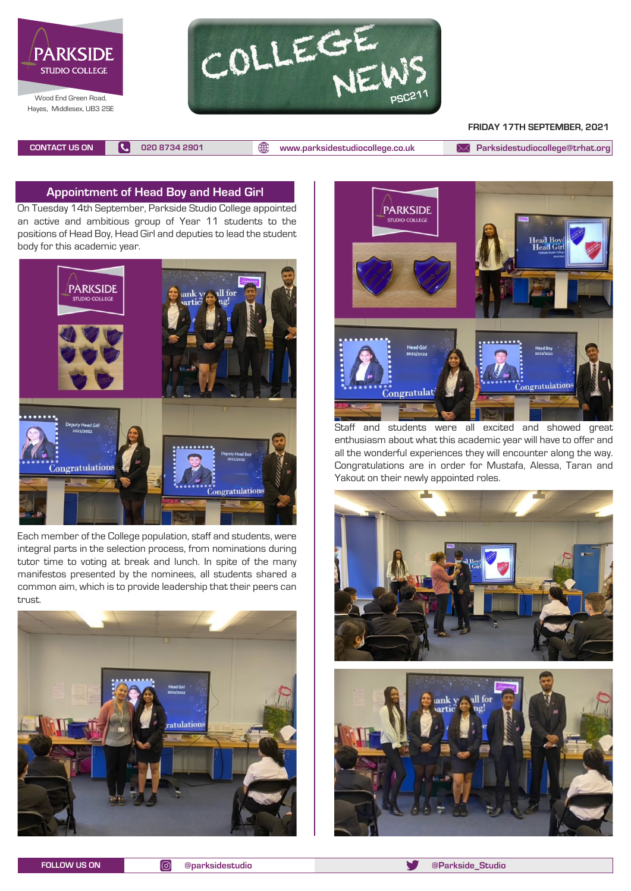



#### **FRIDAY 17TH SEPTEMBER, 2021**

**CONTACT US ON 020 8734 2901 [www.parksidestudiocollege.co.uk](http://www.parksidestudiocollege.co.uk) [Parksidestudiocollege@trhat.org](mailto:Parksidestudiocollege@trhat.org)**

## **Appointment of Head Boy and Head Girl**

On Tuesday 14th September, Parkside Studio College appointed an active and ambitious group of Year 11 students to the positions of Head Boy, Head Girl and deputies to lead the student body for this academic year.



Each member of the College population, staff and students, were integral parts in the selection process, from nominations during tutor time to voting at break and lunch. In spite of the many manifestos presented by the nominees, all students shared a common aim, which is to provide leadership that their peers can trust.





Staff and students were all excited and showed great enthusiasm about what this academic year will have to offer and all the wonderful experiences they will encounter along the way. Congratulations are in order for Mustafa, Alessa, Taran and Yakout on their newly appointed roles.